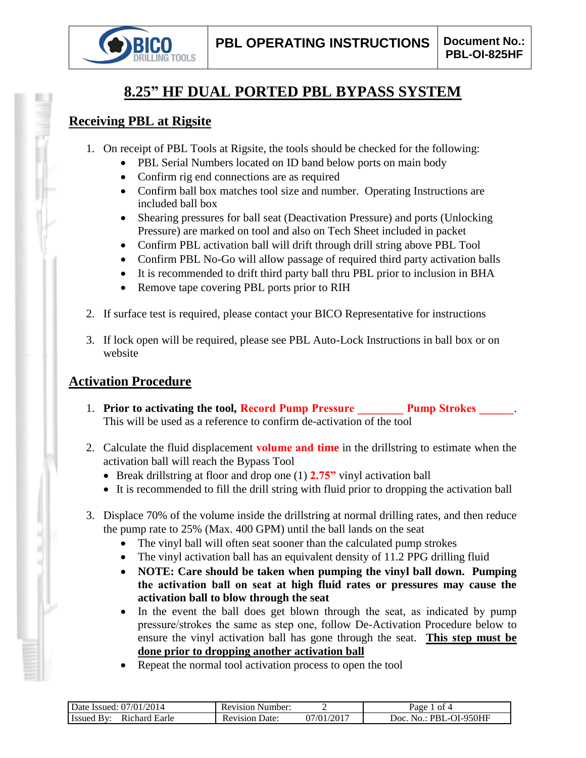

# **8.25" HF DUAL PORTED PBL BYPASS SYSTEM**

## **Receiving PBL at Rigsite**

- 1. On receipt of PBL Tools at Rigsite, the tools should be checked for the following:
	- PBL Serial Numbers located on ID band below ports on main body
	- Confirm rig end connections are as required
	- Confirm ball box matches tool size and number. Operating Instructions are included ball box
	- Shearing pressures for ball seat (Deactivation Pressure) and ports (Unlocking Pressure) are marked on tool and also on Tech Sheet included in packet
	- Confirm PBL activation ball will drift through drill string above PBL Tool
	- Confirm PBL No-Go will allow passage of required third party activation balls
	- It is recommended to drift third party ball thru PBL prior to inclusion in BHA
	- Remove tape covering PBL ports prior to RIH
- 2. If surface test is required, please contact your BICO Representative for instructions
- 3. If lock open will be required, please see PBL Auto-Lock Instructions in ball box or on website

## **Activation Procedure**

- 1. **Prior to activating the tool, Record Pump Pressure Pump Strokes 2014** This will be used as a reference to confirm de-activation of the tool
- 2. Calculate the fluid displacement **volume and time** in the drillstring to estimate when the activation ball will reach the Bypass Tool
	- Break drillstring at floor and drop one (1) **2.75"** vinyl activation ball
	- It is recommended to fill the drill string with fluid prior to dropping the activation ball
- 3. Displace 70% of the volume inside the drillstring at normal drilling rates, and then reduce the pump rate to 25% (Max. 400 GPM) until the ball lands on the seat
	- The vinyl ball will often seat sooner than the calculated pump strokes
	- The vinyl activation ball has an equivalent density of 11.2 PPG drilling fluid
	- **NOTE: Care should be taken when pumping the vinyl ball down. Pumping the activation ball on seat at high fluid rates or pressures may cause the activation ball to blow through the seat**
	- In the event the ball does get blown through the seat, as indicated by pump pressure/strokes the same as step one, follow De-Activation Procedure below to ensure the vinyl activation ball has gone through the seat. **This step must be done prior to dropping another activation ball**
	- Repeat the normal tool activation process to open the tool

| 2014<br>07/01/<br>Date Issued:                        | Number:<br>Revision     |               | ot 4<br>Раое                           |
|-------------------------------------------------------|-------------------------|---------------|----------------------------------------|
| Earle<br>ıchard<br>- Issued<br><b>R</b> <sub>10</sub> | Jate:<br>evision:<br>ĸι | /2017<br>1∖01 | )I-950HF<br>Joc<br>PRI<br>$\mathbf{a}$ |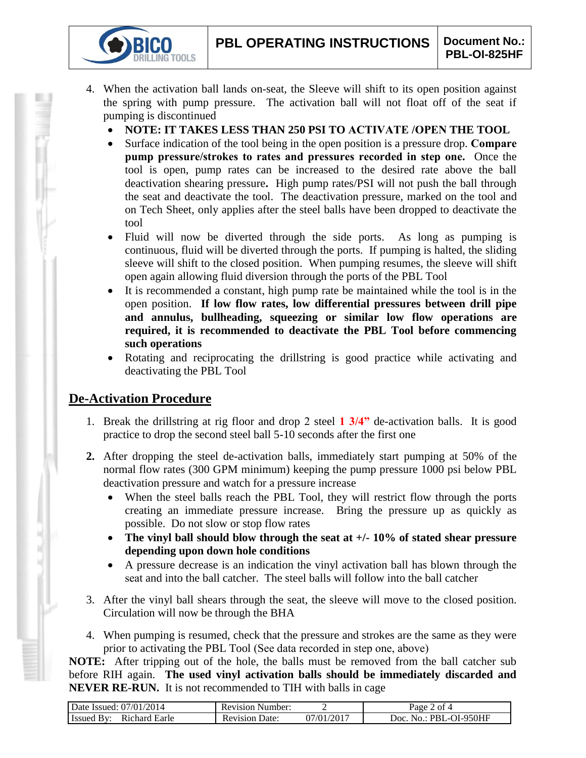- 4. When the activation ball lands on-seat, the Sleeve will shift to its open position against the spring with pump pressure. The activation ball will not float off of the seat if pumping is discontinued
	- **NOTE: IT TAKES LESS THAN 250 PSI TO ACTIVATE /OPEN THE TOOL**
	- Surface indication of the tool being in the open position is a pressure drop. **Compare pump pressure/strokes to rates and pressures recorded in step one.** Once the tool is open, pump rates can be increased to the desired rate above the ball deactivation shearing pressure**.** High pump rates/PSI will not push the ball through the seat and deactivate the tool. The deactivation pressure, marked on the tool and on Tech Sheet, only applies after the steel balls have been dropped to deactivate the tool
	- Fluid will now be diverted through the side ports. As long as pumping is continuous, fluid will be diverted through the ports. If pumping is halted, the sliding sleeve will shift to the closed position. When pumping resumes, the sleeve will shift open again allowing fluid diversion through the ports of the PBL Tool
	- It is recommended a constant, high pump rate be maintained while the tool is in the open position. **If low flow rates, low differential pressures between drill pipe and annulus, bullheading, squeezing or similar low flow operations are required, it is recommended to deactivate the PBL Tool before commencing such operations**
	- Rotating and reciprocating the drillstring is good practice while activating and deactivating the PBL Tool

## **De-Activation Procedure**

**IG TOOLS** 

- 1. Break the drillstring at rig floor and drop 2 steel **1 3/4"** de-activation balls. It is good practice to drop the second steel ball 5-10 seconds after the first one
- **2.** After dropping the steel de-activation balls, immediately start pumping at 50% of the normal flow rates (300 GPM minimum) keeping the pump pressure 1000 psi below PBL deactivation pressure and watch for a pressure increase
	- When the steel balls reach the PBL Tool, they will restrict flow through the ports creating an immediate pressure increase. Bring the pressure up as quickly as possible. Do not slow or stop flow rates
	- **The vinyl ball should blow through the seat at +/- 10% of stated shear pressure depending upon down hole conditions**
	- A pressure decrease is an indication the vinyl activation ball has blown through the seat and into the ball catcher. The steel balls will follow into the ball catcher
- 3. After the vinyl ball shears through the seat, the sleeve will move to the closed position. Circulation will now be through the BHA
- 4. When pumping is resumed, check that the pressure and strokes are the same as they were prior to activating the PBL Tool (See data recorded in step one, above)

**NOTE:** After tripping out of the hole, the balls must be removed from the ball catcher sub before RIH again. **The used vinyl activation balls should be immediately discarded and NEVER RE-RUN.** It is not recommended to TIH with balls in cage

| Date Issued: 07/01/2014 | <b>Revision Number:</b> |                         | $\angle$ of 4<br>$\log_e$ |
|-------------------------|-------------------------|-------------------------|---------------------------|
| <b>Issued By:</b>       | Date:                   | .)7/01/201 <sup>-</sup> | . No.: PBL-OI-950HF       |
| Richard Earle           | Revision                |                         | Doc.                      |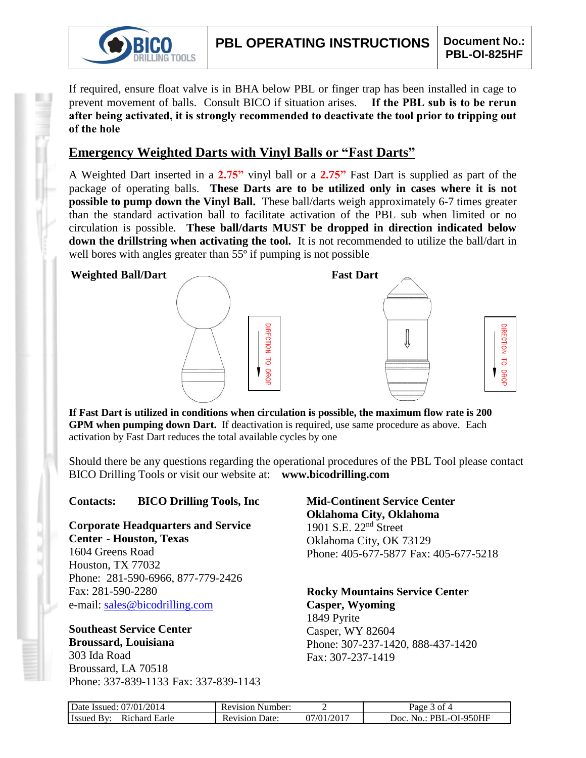

If required, ensure float valve is in BHA below PBL or finger trap has been installed in cage to prevent movement of balls. Consult BICO if situation arises. **If the PBL sub is to be rerun after being activated, it is strongly recommended to deactivate the tool prior to tripping out of the hole**

## **Emergency Weighted Darts with Vinyl Balls or "Fast Darts"**

A Weighted Dart inserted in a **2.75"** vinyl ball or a **2.75"** Fast Dart is supplied as part of the package of operating balls. **These Darts are to be utilized only in cases where it is not possible to pump down the Vinyl Ball.** These ball/darts weigh approximately 6-7 times greater than the standard activation ball to facilitate activation of the PBL sub when limited or no circulation is possible. **These ball/darts MUST be dropped in direction indicated below down the drillstring when activating the tool.** It is not recommended to utilize the ball/dart in well bores with angles greater than 55<sup>°</sup> if pumping is not possible



**If Fast Dart is utilized in conditions when circulation is possible, the maximum flow rate is 200 GPM when pumping down Dart.** If deactivation is required, use same procedure as above. Each activation by Fast Dart reduces the total available cycles by one

Should there be any questions regarding the operational procedures of the PBL Tool please contact BICO Drilling Tools or visit our website at: **www.bicodrilling.com**

### **Contacts: BICO Drilling Tools, Inc**

**Corporate Headquarters and Service Center - Houston, Texas**

1604 Greens Road Houston, TX 77032 Phone: 281-590-6966, 877-779-2426 Fax: 281-590-2280 e-mail: [sales@bicodrilling.com](mailto:sales@bicodrilling.com)

## **Southeast Service Center Broussard, Louisiana**

303 Ida Road Broussard, LA 70518 Phone: 337-839-1133 Fax: 337-839-1143

### **Mid-Continent Service Center Oklahoma City, Oklahoma** 1901 S.E. 22nd Street Oklahoma City, OK 73129 Phone: 405-677-5877 Fax: 405-677-5218

**Rocky Mountains Service Center Casper, Wyoming** 1849 Pyrite Casper, WY 82604 Phone: 307-237-1420, 888-437-1420 Fax: 307-237-1419

| Date Issued: 07/01/2014     | <b>Revision Number:</b> |                           | Page 3 of 4            |
|-----------------------------|-------------------------|---------------------------|------------------------|
| Richard Earle<br>Issued By: | <b>Revision Date:</b>   | $07/01/201$ <sup>-7</sup> | Doc. No.: PBL-OI-950HF |